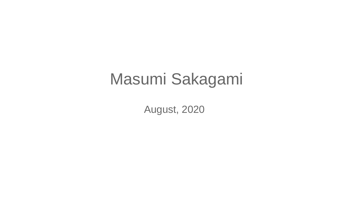## Masumi Sakagami

August, 2020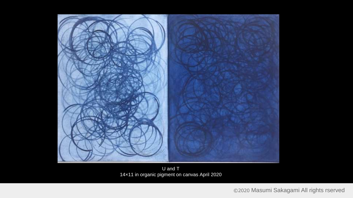

U and  $T$ 14×11 in organic pigment on canvas April 2020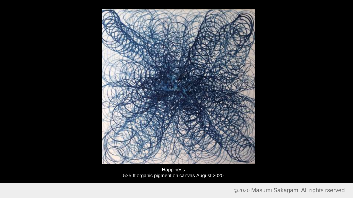

Happiness 5×5 ft organic pigment on canvas August 2020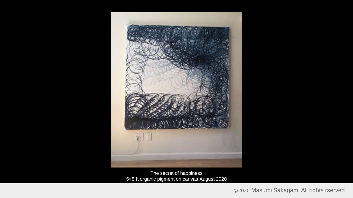

The secret of happiness 5×5 ft organic pigment on canvas August 2020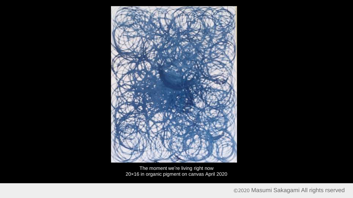

The moment we're living right now 20×16 in organic pigment on canvas April 2020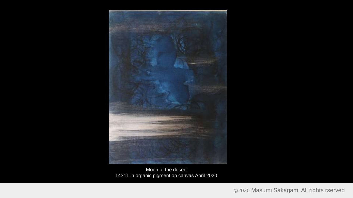

Moon of the desert 14×11 in organic pigment on canvas April 2020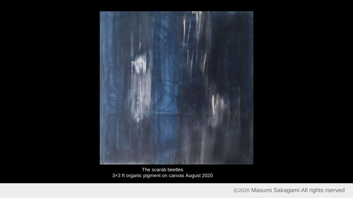

The scarab beetles 3×3 ft organic pigment on canvas August 2020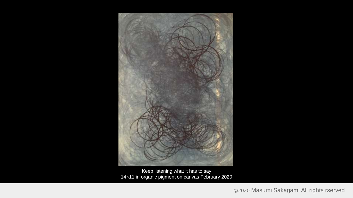

Keep listening what it has to say 14×11 in organic pigment on canvas February 2020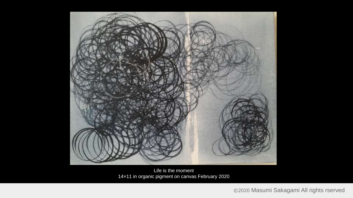

Life is the moment 14×11 in organic pigment on canvas February 2020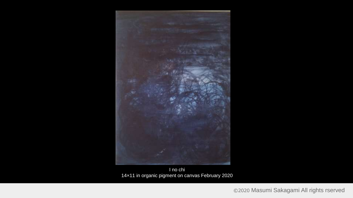

I no chi 14×11 in organic pigment on canvas February 2020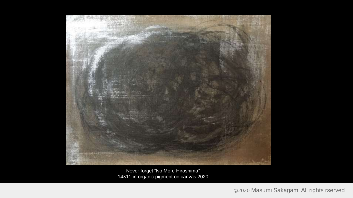

Never forget "No More Hiroshima" 14×11 in organic pigment on canvas 2020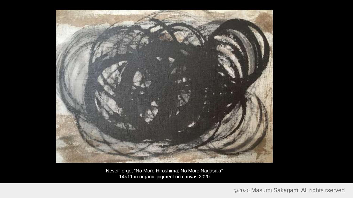

Never forget "No More Hiroshima, No More Nagasaki" 14×11 in organic pigment on canvas 2020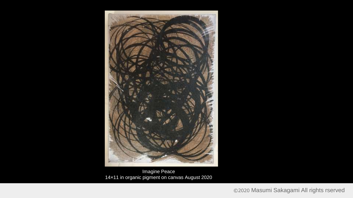

Imagine Peace 14×11 in organic pigment on canvas August 2020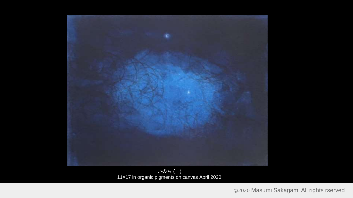

いのち (一) 11×17 in organic pigments on canvas April 2020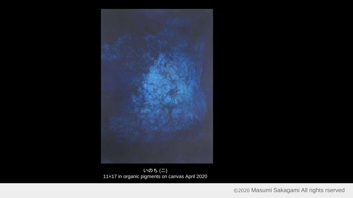![](_page_14_Picture_0.jpeg)

![](_page_14_Figure_1.jpeg)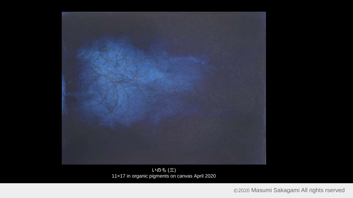![](_page_15_Picture_0.jpeg)

いのち (三) 11×17 in organic pigments on canvas April 2020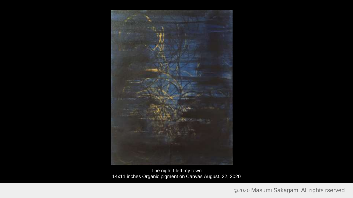![](_page_16_Picture_0.jpeg)

The night I left my town 14x11 inches Organic pigment on Canvas August. 22, 2020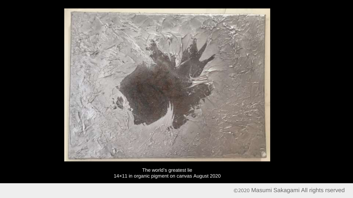![](_page_17_Picture_0.jpeg)

The world's greatest lie 14×11 in organic pigment on canvas August 2020